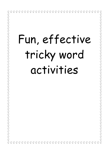| Fun, effective                                                                                                                                                                                                                                                                                                                                                                                                                                                                                                                                                                                                                                                                                                              |
|-----------------------------------------------------------------------------------------------------------------------------------------------------------------------------------------------------------------------------------------------------------------------------------------------------------------------------------------------------------------------------------------------------------------------------------------------------------------------------------------------------------------------------------------------------------------------------------------------------------------------------------------------------------------------------------------------------------------------------|
|                                                                                                                                                                                                                                                                                                                                                                                                                                                                                                                                                                                                                                                                                                                             |
| tricky word                                                                                                                                                                                                                                                                                                                                                                                                                                                                                                                                                                                                                                                                                                                 |
|                                                                                                                                                                                                                                                                                                                                                                                                                                                                                                                                                                                                                                                                                                                             |
| activities                                                                                                                                                                                                                                                                                                                                                                                                                                                                                                                                                                                                                                                                                                                  |
|                                                                                                                                                                                                                                                                                                                                                                                                                                                                                                                                                                                                                                                                                                                             |
| Ñ                                                                                                                                                                                                                                                                                                                                                                                                                                                                                                                                                                                                                                                                                                                           |
| W<br>$\ddot{\mathbb{C}}$                                                                                                                                                                                                                                                                                                                                                                                                                                                                                                                                                                                                                                                                                                    |
| کے وکے واقع کو کر کے واقع                                                                                                                                                                                                                                                                                                                                                                                                                                                                                                                                                                                                                                                                                                   |
|                                                                                                                                                                                                                                                                                                                                                                                                                                                                                                                                                                                                                                                                                                                             |
| ECECECE                                                                                                                                                                                                                                                                                                                                                                                                                                                                                                                                                                                                                                                                                                                     |
| W                                                                                                                                                                                                                                                                                                                                                                                                                                                                                                                                                                                                                                                                                                                           |
| EgEbE9                                                                                                                                                                                                                                                                                                                                                                                                                                                                                                                                                                                                                                                                                                                      |
| $\frac{1}{2}$<br>$\frac{\infty}{M}$<br>$\frac{\circ}{\mathcal{U}}$<br>$\frac{\infty}{M}$<br>$\overset{\circ}{\mathbb{U}}$<br>$\frac{\circ}{\mathbb{N}}$<br>$\frac{1}{2}$<br>$\frac{1}{2}$<br>$\frac{1}{2}$<br>$\frac{1}{2}$<br>$\frac{1}{2}$<br>$\frac{\circ}{\mathbb{N}}$<br>₩<br>$\frac{1}{2}$<br>$\frac{8}{10}$<br>$\frac{\circ}{\mathbb{N}}$<br>$\frac{3}{4}$<br>$\frac{\circ}{\mathbb{N}}$<br>$\int_0^\infty$<br>$\frac{1}{2}$<br>นี้<br>$\frac{\circ}{\mathbb{W}}$<br>$\frac{\circ}{\mathbb{N}}$<br>$\frac{3}{4}$<br>$\frac{1}{2}$<br>$\frac{\infty}{M}$<br>$\overset{\circ}{\mathbb{H}}$<br>$\overset{\circ}{\mathbb{M}}$<br>$\frac{\circ}{\mathbb{N}}$<br>$\frac{3}{2}$<br>₩<br>$\frac{3}{4}$<br>$\frac{\infty}{M}$ |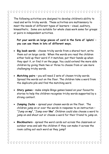The following activities are designed to develop children's ability to read and write tricky words. These activities are multisensory to meet the needs of different types of learners – visual, auditory, kinaesthetic. Some are suitable for whole class work some for groups or pairs in independent activities.

**Put your words on large pieces of card in the form of 'splats' – you can use them in lots of different ways.**

- **Big book words** choose tricky words from a shared text, write them out on large cards. When the words are read the children either hold up their word if it matches, put their hands up when they spot it, or find it on the page. You could extend the more able children by giving them two or three to choose from or use more challenging tricky words.
- **Matching pairs** you will need 2 sets of chosen tricky words. Spread the words out on the floor. The children take a word from the duplicate pile and find the matching word.
- **Story games** make simple Bingo games based on your favourite stories to help the children recognise tricky words supported by a strong context.
- **Jumping Jacks –** spread your chosen words on the floor. The children jump on or over the words in response to an instruction – "Jump on **my**", "Jump over **like**". Children could also choose a word to jump on and shout out or choose a word for their friend to jump on.
- **Blockbusters** spread the word cards out across the classroom or outdoor area and ask the children if they can make it across the room calling out each word as they jump?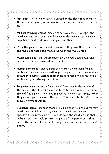- **Hot Shot –** with the words still spread on the floor take turns to throw a beanbag or quoit onto a word and call out the word it lands on.
- **Musical stepping stones** (similar to musical chairs) whisper the word you land on to your neighbour when the music stops, or your neighbour could reads yours and you read theirs.
- **'Pass the parcel'** each child has a word, they pass them round to the music and then read them aloud when the music stops.
- **Magic word bag** pull words slowly out of a magic word bag, who can be the first to guess what it says?
- **Human sentences** give a group of children a word each from a sentence they are familiar with (e.g. a simple sentence from a story or nursery rhyme). Choose another child to make the words into a sentence by reordering the children.
- **Pelmanism**  spread two of each word face down in the middle of the circle. The children take it in turns to turn two words over to try and find a pair. They have to read both words each time. When they make a pair they keep the cards. This could also be adapted to focus on rhyming words.
- **Exchange game** children stand in a circle each holding a different word card. A child starts by choosing a word they can read opposite them in the circle. The child calls the word out and then walks across the circle to take the place of the person with that card. The second child repeats the process until everyone has had a turn.

 $\frac{8}{10}$